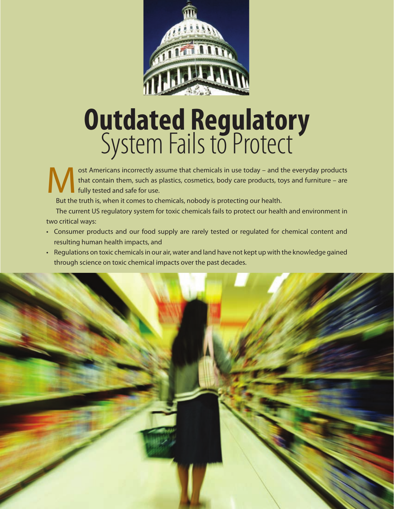

# **Outdated Regulatory**  System Fails to Protect

ost Americans incorrectly assume that chemicals in use today – and the everyday products<br>that contain them, such as plastics, cosmetics, body care products, toys and furniture – are<br>fully tested and safe for use. that contain them, such as plastics, cosmetics, body care products, toys and furniture – are fully tested and safe for use.

But the truth is, when it comes to chemicals, nobody is protecting our health.

The current US regulatory system for toxic chemicals fails to protect our health and environment in two critical ways:

- Consumer products and our food supply are rarely tested or regulated for chemical content and resulting human health impacts, and
- Regulations on toxic chemicals in our air, water and land have not kept up with the knowledge gained through science on toxic chemical impacts over the past decades.

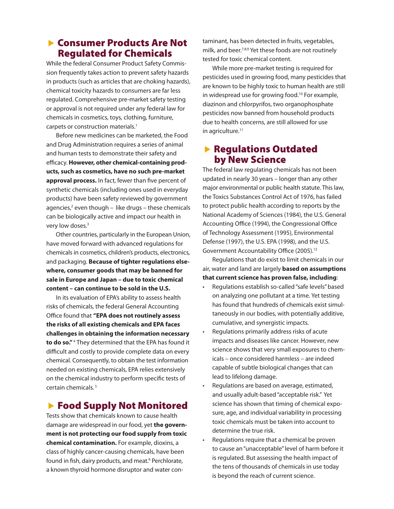#### **Exercise Sensumer Products Are Not** Regulated for Chemicals

While the federal Consumer Product Safety Commission frequently takes action to prevent safety hazards in products (such as articles that are choking hazards), chemical toxicity hazards to consumers are far less regulated. Comprehensive pre-market safety testing or approval is not required under any federal law for chemicals in cosmetics, toys, clothing, furniture, carpets or construction materials.<sup>1</sup>

Before new medicines can be marketed, the Food and Drug Administration requires a series of animal and human tests to demonstrate their safety and efficacy. **However, other chemical-containing products, such as cosmetics, have no such pre-market approval process.** In fact, fewer than five percent of synthetic chemicals (including ones used in everyday products) have been safety reviewed by government agencies,<sup>2</sup> even though – like drugs – these chemicals can be biologically active and impact our health in very low doses.<sup>3</sup>

 Other countries, particularly in the European Union, have moved forward with advanced regulations for chemicals in cosmetics, children's products, electronics, and packaging. **Because of tighter regulations elsewhere, consumer goods that may be banned for sale in Europe and Japan – due to toxic chemical content – can continue to be sold in the U.S.**

In its evaluation of EPA's ability to assess health risks of chemicals, the federal General Accounting Office found that **"EPA does not routinely assess the risks of all existing chemicals and EPA faces challenges in obtaining the information necessary to do so."** <sup>4</sup> They determined that the EPA has found it difficult and costly to provide complete data on every chemical. Consequently, to obtain the test information needed on existing chemicals, EPA relies extensively on the chemical industry to perform specific tests of certain chemicals. 5

### ▶ Food Supply Not Monitored

Tests show that chemicals known to cause health damage are widespread in our food, yet **the government is not protecting our food supply from toxic chemical contamination.** For example, dioxins, a class of highly cancer-causing chemicals, have been found in fish, dairy products, and meat.<sup>6</sup> Perchlorate, a known thyroid hormone disruptor and water contaminant, has been detected in fruits, vegetables, milk, and beer.7,8,9 Yet these foods are not routinely tested for toxic chemical content.

While more pre-market testing is required for pesticides used in growing food, many pesticides that are known to be highly toxic to human health are still in widespread use for growing food.<sup>10</sup> For example, diazinon and chlorpyrifos, two organophosphate pesticides now banned from household products due to health concerns, are still allowed for use in agriculture.<sup>11</sup>

#### $\blacktriangleright$  Regulations Outdated by New Science

The federal law regulating chemicals has not been updated in nearly 30 years – longer than any other major environmental or public health statute. This law, the Toxics Substances Control Act of 1976, has failed to protect public health according to reports by the National Academy of Sciences (1984), the U.S. General Accounting Office (1994), the Congressional Office of Technology Assessment (1995), Environmental Defense (1997), the U.S. EPA (1998), and the U.S. Government Accountability Office (2005).<sup>12</sup>

Regulations that do exist to limit chemicals in our air, water and land are largely **based on assumptions that current science has proven false, including**:

- Regulations establish so-called "safe levels" based on analyzing one pollutant at a time*.* Yet testing has found that hundreds of chemicals exist simultaneously in our bodies, with potentially additive, cumulative, and synergistic impacts.
- Regulations primarily address risks of acute impacts and diseases like cancer. However, new science shows that very small exposures to chemicals – once considered harmless – are indeed capable of subtle biological changes that can lead to lifelong damage.
- Regulations are based on average, estimated, and usually adult-based "acceptable risk." Yet science has shown that timing of chemical exposure, age, and individual variability in processing toxic chemicals must be taken into account to determine the true risk.
- Regulations require that a chemical be proven to cause an "unacceptable" level of harm before it is regulated. But assessing the health impact of the tens of thousands of chemicals in use today is beyond the reach of current science.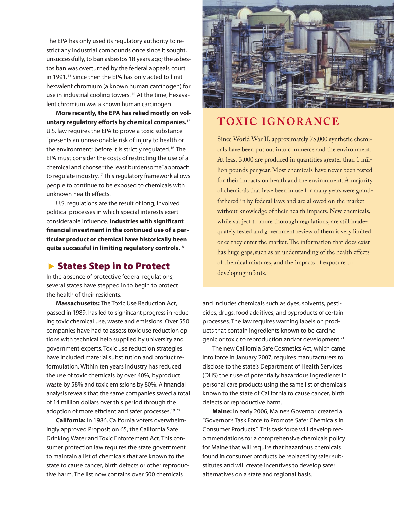The EPA has only used its regulatory authority to restrict any industrial compounds once since it sought, unsuccessfully, to ban asbestos 18 years ago; the asbestos ban was overturned by the federal appeals court in 1991.<sup>13</sup> Since then the EPA has only acted to limit hexvalent chromium (a known human carcinogen) for use in industrial cooling towers.<sup>14</sup> At the time, hexavalent chromium was a known human carcinogen.

**More recently, the EPA has relied mostly on voluntary regulatory efforts by chemical companies.**<sup>15</sup> U.S. law requires the EPA to prove a toxic substance "presents an unreasonable risk of injury to health or the environment" before it is strictly regulated.16 The EPA must consider the costs of restricting the use of a chemical and choose "the least burdensome" approach to regulate industry.17 This regulatory framework allows people to continue to be exposed to chemicals with unknown health effects.

U.S. regulations are the result of long, involved political processes in which special interests exert considerable influence. **Industries with significant financial investment in the continued use of a particular product or chemical have historically been quite successful in limiting regulatory controls.**<sup>18</sup>

#### ▶ States Step in to Protect

In the absence of protective federal regulations, several states have stepped in to begin to protect the health of their residents.

**Massachusetts:** The Toxic Use Reduction Act, passed in 1989, has led to significant progress in reducing toxic chemical use, waste and emissions. Over 550 companies have had to assess toxic use reduction options with technical help supplied by university and government experts. Toxic use reduction strategies have included material substitution and product reformulation. Within ten years industry has reduced the use of toxic chemicals by over 40%, byproduct waste by 58% and toxic emissions by 80%. A financial analysis reveals that the same companies saved a total of 14 million dollars over this period through the adoption of more efficient and safer processes.<sup>19,20</sup>

**California:** In 1986, California voters overwhelmingly approved Proposition 65, the California Safe Drinking Water and Toxic Enforcement Act. This consumer protection law requires the state government to maintain a list of chemicals that are known to the state to cause cancer, birth defects or other reproductive harm. The list now contains over 500 chemicals



## **TOXIC IGNORANCE**

Since World War II, approximately 75,000 synthetic chemicals have been put out into commerce and the environment. At least 3,000 are produced in quantities greater than 1 million pounds per year. Most chemicals have never been tested for their impacts on health and the environment. A majority of chemicals that have been in use for many years were grandfathered in by federal laws and are allowed on the market without knowledge of their health impacts. New chemicals, while subject to more thorough regulations, are still inadequately tested and government review of them is very limited once they enter the market. The information that does exist has huge gaps, such as an understanding of the health effects of chemical mixtures, and the impacts of exposure to developing infants.

and includes chemicals such as dyes, solvents, pesticides, drugs, food additives, and byproducts of certain processes. The law requires warning labels on products that contain ingredients known to be carcinogenic or toxic to reproduction and/or development.<sup>21</sup>

The new California Safe Cosmetics Act, which came into force in January 2007, requires manufacturers to disclose to the state's Department of Health Services (DHS) their use of potentially hazardous ingredients in personal care products using the same list of chemicals known to the state of California to cause cancer, birth defects or reproductive harm.

**Maine:** In early 2006, Maine's Governor created a "Governor's Task Force to Promote Safer Chemicals in Consumer Products." This task force will develop recommendations for a comprehensive chemicals policy for Maine that will require that hazardous chemicals found in consumer products be replaced by safer substitutes and will create incentives to develop safer alternatives on a state and regional basis.